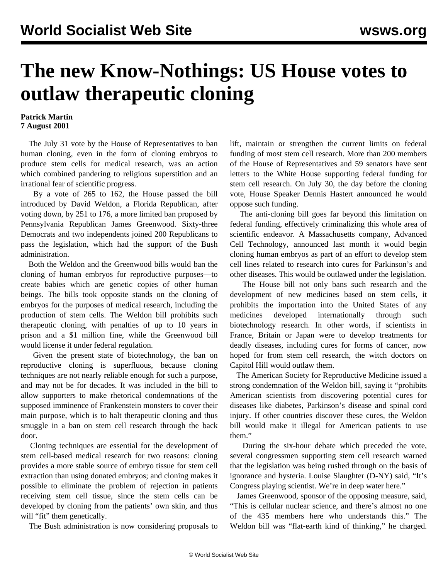## **The new Know-Nothings: US House votes to outlaw therapeutic cloning**

## **Patrick Martin 7 August 2001**

 The July 31 vote by the House of Representatives to ban human cloning, even in the form of cloning embryos to produce stem cells for medical research, was an action which combined pandering to religious superstition and an irrational fear of scientific progress.

 By a vote of 265 to 162, the House passed the bill introduced by David Weldon, a Florida Republican, after voting down, by 251 to 176, a more limited ban proposed by Pennsylvania Republican James Greenwood. Sixty-three Democrats and two independents joined 200 Republicans to pass the legislation, which had the support of the Bush administration.

 Both the Weldon and the Greenwood bills would ban the cloning of human embryos for reproductive purposes—to create babies which are genetic copies of other human beings. The bills took opposite stands on the cloning of embryos for the purposes of medical research, including the production of stem cells. The Weldon bill prohibits such therapeutic cloning, with penalties of up to 10 years in prison and a \$1 million fine, while the Greenwood bill would license it under federal regulation.

 Given the present state of biotechnology, the ban on reproductive cloning is superfluous, because cloning techniques are not nearly reliable enough for such a purpose, and may not be for decades. It was included in the bill to allow supporters to make rhetorical condemnations of the supposed imminence of Frankenstein monsters to cover their main purpose, which is to halt therapeutic cloning and thus smuggle in a ban on stem cell research through the back door.

 Cloning techniques are essential for the development of stem cell-based medical research for two reasons: cloning provides a more stable source of embryo tissue for stem cell extraction than using donated embryos; and cloning makes it possible to eliminate the problem of rejection in patients receiving stem cell tissue, since the stem cells can be developed by cloning from the patients' own skin, and thus will "fit" them genetically.

The Bush administration is now considering proposals to

lift, maintain or strengthen the current limits on federal funding of most stem cell research. More than 200 members of the House of Representatives and 59 senators have sent letters to the White House supporting federal funding for stem cell research. On July 30, the day before the cloning vote, House Speaker Dennis Hastert announced he would oppose such funding.

 The anti-cloning bill goes far beyond this limitation on federal funding, effectively criminalizing this whole area of scientific endeavor. A Massachusetts company, Advanced Cell Technology, announced last month it would begin cloning human embryos as part of an effort to develop stem cell lines related to research into cures for Parkinson's and other diseases. This would be outlawed under the legislation.

 The House bill not only bans such research and the development of new medicines based on stem cells, it prohibits the importation into the United States of any medicines developed internationally through such biotechnology research. In other words, if scientists in France, Britain or Japan were to develop treatments for deadly diseases, including cures for forms of cancer, now hoped for from stem cell research, the witch doctors on Capitol Hill would outlaw them.

 The American Society for Reproductive Medicine issued a strong condemnation of the Weldon bill, saying it "prohibits American scientists from discovering potential cures for diseases like diabetes, Parkinson's disease and spinal cord injury. If other countries discover these cures, the Weldon bill would make it illegal for American patients to use them."

 During the six-hour debate which preceded the vote, several congressmen supporting stem cell research warned that the legislation was being rushed through on the basis of ignorance and hysteria. Louise Slaughter (D-NY) said, "It's Congress playing scientist. We're in deep water here."

 James Greenwood, sponsor of the opposing measure, said, "This is cellular nuclear science, and there's almost no one of the 435 members here who understands this." The Weldon bill was "flat-earth kind of thinking," he charged.